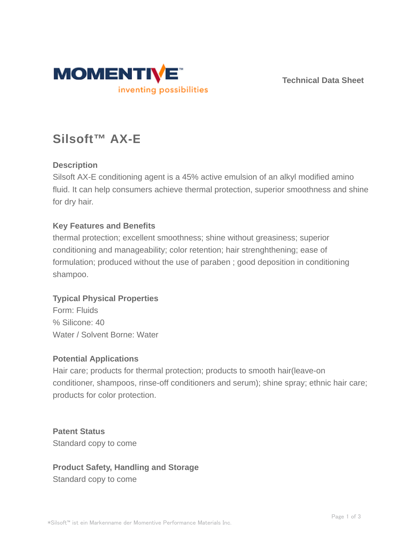

**Technical Data Sheet**

# **Silsoft™ AX-E**

# **Description**

Silsoft AX-E conditioning agent is a 45% active emulsion of an alkyl modified amino fluid. It can help consumers achieve thermal protection, superior smoothness and shine for dry hair.

# **Key Features and Benefits**

thermal protection; excellent smoothness; shine without greasiness; superior conditioning and manageability; color retention; hair strenghthening; ease of formulation; produced without the use of paraben ; good deposition in conditioning shampoo.

# **Typical Physical Properties**

Form: Fluids % Silicone: 40 Water / Solvent Borne: Water

# **Potential Applications**

Hair care; products for thermal protection; products to smooth hair(leave-on conditioner, shampoos, rinse-off conditioners and serum); shine spray; ethnic hair care; products for color protection.

**Patent Status** Standard copy to come

# **Product Safety, Handling and Storage** Standard copy to come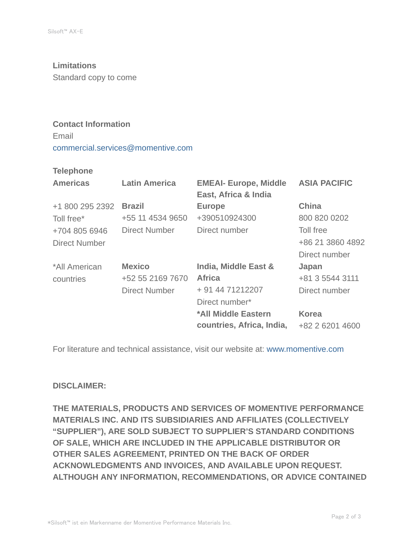#### **Limitations**

Standard copy to come

### **Contact Information**

Email commercial.services@momentive.com

#### **Telephone**

| <b>Americas</b>      | <b>Latin America</b> | <b>EMEAI- Europe, Middle</b><br>East, Africa & India | <b>ASIA PACIFIC</b> |
|----------------------|----------------------|------------------------------------------------------|---------------------|
| +1 800 295 2392      | <b>Brazil</b>        | <b>Europe</b>                                        | <b>China</b>        |
| Toll free*           | +55 11 4534 9650     | +390510924300                                        | 800 820 0202        |
| +704 805 6946        | <b>Direct Number</b> | Direct number                                        | Toll free           |
| <b>Direct Number</b> |                      |                                                      | +86 21 3860 4892    |
|                      |                      |                                                      | Direct number       |
| *All American        | <b>Mexico</b>        | <b>India, Middle East &amp;</b>                      | Japan               |
| countries            | +52 55 2169 7670     | <b>Africa</b>                                        | +81 3 5544 3111     |
|                      | <b>Direct Number</b> | + 91 44 71212207                                     | Direct number       |
|                      |                      | Direct number*                                       |                     |
|                      |                      | *All Middle Eastern                                  | <b>Korea</b>        |
|                      |                      | countries, Africa, India,                            | +82 2 6201 4600     |

For literature and technical assistance, visit our website at: www.momentive.com

# **DISCLAIMER:**

**THE MATERIALS, PRODUCTS AND SERVICES OF MOMENTIVE PERFORMANCE MATERIALS INC. AND ITS SUBSIDIARIES AND AFFILIATES (COLLECTIVELY "SUPPLIER"), ARE SOLD SUBJECT TO SUPPLIER'S STANDARD CONDITIONS OF SALE, WHICH ARE INCLUDED IN THE APPLICABLE DISTRIBUTOR OR OTHER SALES AGREEMENT, PRINTED ON THE BACK OF ORDER ACKNOWLEDGMENTS AND INVOICES, AND AVAILABLE UPON REQUEST. ALTHOUGH ANY INFORMATION, RECOMMENDATIONS, OR ADVICE CONTAINED**